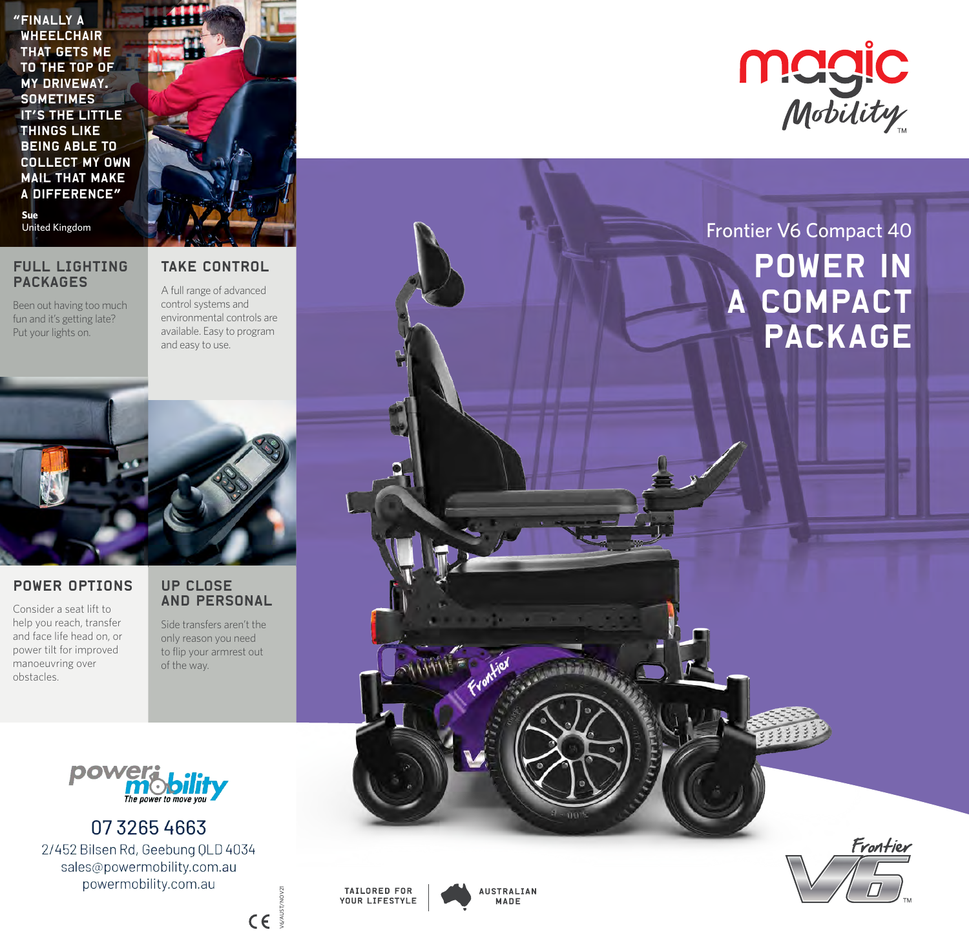"Finally a **WHEELCHAIR** that gets me to the top of my driveway. **SOMETIMES** it's the little things like being able to collect my own mail that make a difference" **Sue**



## FULL LIGHTING PACKAGES

Been out having too much fun and it's getting late? Put your lights on.

## TAKE CONTROL

A full range of advanced control systems and environmental controls are available. Easy to program and easy to use.



## POWER OPTIONS

Consider a seat lift to help you reach, transfer and face life head on, or power tilt for improved manoeuvring over obstacles.

## UP CLOSE AND PERSONAL

Side transfers aren't the only reason you need to flip your armrest out of the way.



0732654663 2/452 Bilsen Rd, Geebung QLD 4034 sales@powermobility.com.au powermobility.com.au









# Power in a compact **PACKAGE**